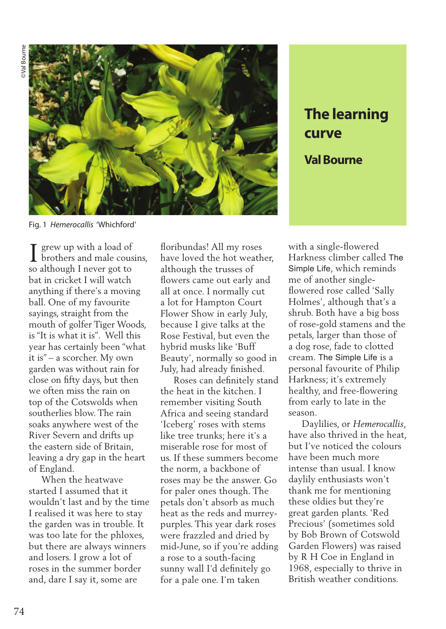

**The learning curve Val Bourne**

Fig. 1 *Hemerocallis* 'Whichford'

grew up with a load of brothers and male cousins, I grew up with a load of<br>brothers and male cous<br>so although I never got to bat in cricket I will watch anything if there's a moving ball. One of my favourite sayings, straight from the mouth of golfer Tiger Woods, is "It is what it is". Well this year has certainly been "what it is" – a scorcher. My own garden was without rain for close on fifty days, but then we often miss the rain on top of the Cotswolds when southerlies blow. The rain soaks anywhere west of the River Severn and drifts up the eastern side of Britain, leaving a dry gap in the heart of England.

 When the heatwave started I assumed that it wouldn't last and by the time I realised it was here to stay the garden was in trouble. It was too late for the phloxes, but there are always winners and losers. I grow a lot of roses in the summer border and, dare I say it, some are

floribundas! All my roses have loved the hot weather, although the trusses of flowers came out early and all at once. I normally cut a lot for Hampton Court Flower Show in early July, because I give talks at the Rose Festival, but even the hybrid musks like 'Buff Beauty', normally so good in July, had already finished.

 Roses can definitely stand the heat in the kitchen. I remember visiting South Africa and seeing standard 'Iceberg' roses with stems like tree trunks; here it's a miserable rose for most of us. If these summers become the norm, a backbone of roses may be the answer. Go for paler ones though. The petals don't absorb as much heat as the reds and murreypurples. This year dark roses were frazzled and dried by mid-June, so if you're adding a rose to a south-facing sunny wall I'd definitely go for a pale one. I'm taken

with a single-flowered Harkness climber called The Simple Life, which reminds me of another singleflowered rose called 'Sally Holmes', although that's a shrub. Both have a big boss of rose-gold stamens and the petals, larger than those of a dog rose, fade to clotted cream. The Simple Life is a personal favourite of Philip Harkness; it's extremely healthy, and free-flowering from early to late in the season.

 Daylilies, or *Hemerocallis*, have also thrived in the heat, but I've noticed the colours have been much more intense than usual. I know daylily enthusiasts won't thank me for mentioning these oldies but they're great garden plants. 'Red Precious' (sometimes sold by Bob Brown of Cotswold Garden Flowers) was raised by R H Coe in England in 1968, especially to thrive in British weather conditions.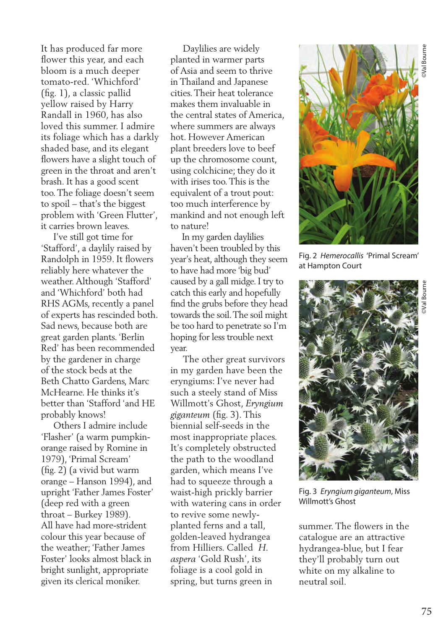It has produced far more flower this year, and each bloom is a much deeper tomato-red. 'Whichford' (fig. 1), a classic pallid yellow raised by Harry Randall in 1960, has also loved this summer. I admire its foliage which has a darkly shaded base, and its elegant flowers have a slight touch of green in the throat and aren't brash. It has a good scent too. The foliage doesn't seem to spoil – that's the biggest problem with 'Green Flutter', it carries brown leaves.

 I've still got time for 'Stafford', a daylily raised by Randolph in 1959. It flowers reliably here whatever the weather. Although 'Stafford' and 'Whichford' both had RHS AGMs, recently a panel of experts has rescinded both. Sad news, because both are great garden plants. 'Berlin Red' has been recommended by the gardener in charge of the stock beds at the Beth Chatto Gardens, Marc McHearne. He thinks it's better than 'Stafford 'and HE probably knows!

 Others I admire include 'Flasher' (a warm pumpkinorange raised by Romine in 1979), 'Primal Scream' (fig. 2) (a vivid but warm orange – Hanson 1994), and upright 'Father James Foster' (deep red with a green throat – Burkey 1989). All have had more-strident colour this year because of the weather; 'Father James Foster' looks almost black in bright sunlight, appropriate given its clerical moniker.

 Daylilies are widely planted in warmer parts of Asia and seem to thrive in Thailand and Japanese cities. Their heat tolerance makes them invaluable in the central states of America, where summers are always hot. However American plant breeders love to beef up the chromosome count, using colchicine; they do it with irises too. This is the equivalent of a trout pout: too much interference by mankind and not enough left to nature!

 In my garden daylilies haven't been troubled by this year's heat, although they seem to have had more 'big bud' caused by a gall midge. I try to catch this early and hopefully find the grubs before they head towards the soil. The soil might be too hard to penetrate so I'm hoping for less trouble next year.

 The other great survivors in my garden have been the eryngiums: I've never had such a steely stand of Miss Willmott's Ghost, *Eryngium giganteum* (fig. 3). This biennial self-seeds in the most inappropriate places. It's completely obstructed the path to the woodland garden, which means I've had to squeeze through a waist-high prickly barrier with watering cans in order to revive some newlyplanted ferns and a tall, golden-leaved hydrangea from Hilliers. Called *H. aspera* 'Gold Rush', its foliage is a cool gold in spring, but turns green in



Fig. 2 *Hemerocallis* 'Primal Scream' at Hampton Court



Fig. 3 *Eryngium giganteum*, Miss Willmott's Ghost

summer. The flowers in the catalogue are an attractive hydrangea-blue, but I fear they'll probably turn out white on my alkaline to neutral soil.